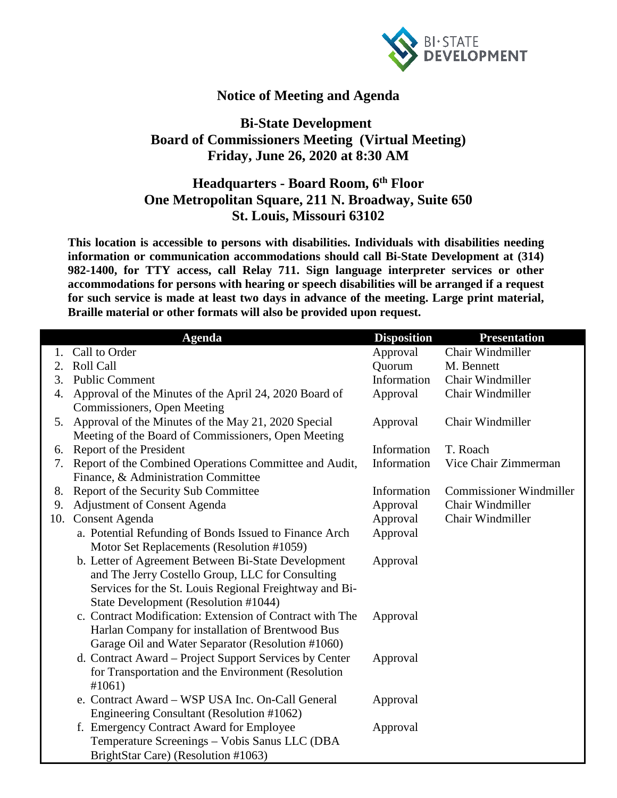

## **Notice of Meeting and Agenda**

## **Bi-State Development Board of Commissioners Meeting (Virtual Meeting) Friday, June 26, 2020 at 8:30 AM**

## **Headquarters - Board Room, 6th Floor One Metropolitan Square, 211 N. Broadway, Suite 650 St. Louis, Missouri 63102**

**This location is accessible to persons with disabilities. Individuals with disabilities needing information or communication accommodations should call Bi-State Development at (314) 982-1400, for TTY access, call Relay 711. Sign language interpreter services or other accommodations for persons with hearing or speech disabilities will be arranged if a request for such service is made at least two days in advance of the meeting. Large print material, Braille material or other formats will also be provided upon request.**

|     | <b>Agenda</b>                                            | <b>Disposition</b> | <b>Presentation</b>            |
|-----|----------------------------------------------------------|--------------------|--------------------------------|
|     | 1. Call to Order                                         | Approval           | Chair Windmiller               |
| 2.  | <b>Roll Call</b>                                         | Quorum             | M. Bennett                     |
| 3.  | <b>Public Comment</b>                                    | Information        | Chair Windmiller               |
| 4.  | Approval of the Minutes of the April 24, 2020 Board of   | Approval           | Chair Windmiller               |
|     | Commissioners, Open Meeting                              |                    |                                |
| 5.  | Approval of the Minutes of the May 21, 2020 Special      | Approval           | Chair Windmiller               |
|     | Meeting of the Board of Commissioners, Open Meeting      |                    |                                |
| 6.  | Report of the President                                  | Information        | T. Roach                       |
| 7.  | Report of the Combined Operations Committee and Audit,   | Information        | Vice Chair Zimmerman           |
|     | Finance, & Administration Committee                      |                    |                                |
| 8.  | Report of the Security Sub Committee                     | Information        | <b>Commissioner Windmiller</b> |
| 9.  | <b>Adjustment of Consent Agenda</b>                      | Approval           | Chair Windmiller               |
| 10. | <b>Consent Agenda</b>                                    | Approval           | Chair Windmiller               |
|     | a. Potential Refunding of Bonds Issued to Finance Arch   | Approval           |                                |
|     | Motor Set Replacements (Resolution #1059)                |                    |                                |
|     | b. Letter of Agreement Between Bi-State Development      | Approval           |                                |
|     | and The Jerry Costello Group, LLC for Consulting         |                    |                                |
|     | Services for the St. Louis Regional Freightway and Bi-   |                    |                                |
|     | State Development (Resolution #1044)                     |                    |                                |
|     | c. Contract Modification: Extension of Contract with The | Approval           |                                |
|     | Harlan Company for installation of Brentwood Bus         |                    |                                |
|     | Garage Oil and Water Separator (Resolution #1060)        |                    |                                |
|     | d. Contract Award – Project Support Services by Center   | Approval           |                                |
|     | for Transportation and the Environment (Resolution       |                    |                                |
|     | #1061)                                                   |                    |                                |
|     | e. Contract Award - WSP USA Inc. On-Call General         | Approval           |                                |
|     | Engineering Consultant (Resolution #1062)                |                    |                                |
|     | f. Emergency Contract Award for Employee                 | Approval           |                                |
|     | Temperature Screenings - Vobis Sanus LLC (DBA            |                    |                                |
|     | BrightStar Care) (Resolution #1063)                      |                    |                                |